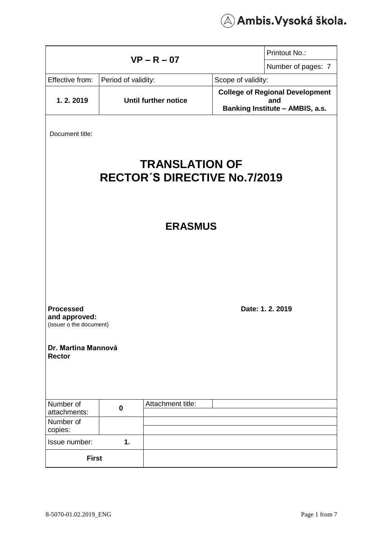

|                                                              |          |                             |                                        | Printout No.:                          |
|--------------------------------------------------------------|----------|-----------------------------|----------------------------------------|----------------------------------------|
| $VP - R - 07$                                                |          |                             |                                        | Number of pages: 7                     |
| Effective from:<br>Period of validity:                       |          |                             | Scope of validity:                     |                                        |
|                                                              |          | <b>Until further notice</b> |                                        | <b>College of Regional Development</b> |
| 1.2.2019                                                     |          |                             | and<br>Banking Institute - AMBIS, a.s. |                                        |
|                                                              |          |                             |                                        |                                        |
| Document title:                                              |          |                             |                                        |                                        |
|                                                              |          |                             |                                        |                                        |
| <b>TRANSLATION OF</b><br><b>RECTOR'S DIRECTIVE No.7/2019</b> |          |                             |                                        |                                        |
| <b>ERASMUS</b>                                               |          |                             |                                        |                                        |
| <b>Processed</b>                                             |          |                             |                                        | Date: 1. 2. 2019                       |
| and approved:<br>(issuer o the document)                     |          |                             |                                        |                                        |
|                                                              |          |                             |                                        |                                        |
| Dr. Martina Mannová<br><b>Rector</b>                         |          |                             |                                        |                                        |
| Number of                                                    |          | Attachment title:           |                                        |                                        |
| attachments:                                                 | $\bf{0}$ |                             |                                        |                                        |
| Number of<br>copies:                                         |          |                             |                                        |                                        |
| Issue number:                                                | 1.       |                             |                                        |                                        |
| <b>First</b>                                                 |          |                             |                                        |                                        |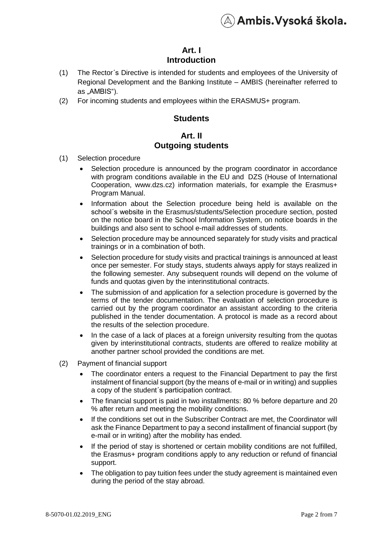

## **Art. I Introduction**

- (1) The Rector´s Directive is intended for students and employees of the University of Regional Development and the Banking Institute – AMBIS (hereinafter referred to as "AMBIS").
- (2) For incoming students and employees within the ERASMUS+ program.

#### **Students**

#### **Art. II Outgoing students**

- (1) Selection procedure
	- Selection procedure is announced by the program coordinator in accordance with program conditions available in the EU and DZS (House of International Cooperation, www.dzs.cz) information materials, for example the Erasmus+ Program Manual.
	- Information about the Selection procedure being held is available on the school´s website in the Erasmus/students/Selection procedure section, posted on the notice board in the School Information System, on notice boards in the buildings and also sent to school e-mail addresses of students.
	- Selection procedure may be announced separately for study visits and practical trainings or in a combination of both.
	- Selection procedure for study visits and practical trainings is announced at least once per semester. For study stays, students always apply for stays realized in the following semester. Any subsequent rounds will depend on the volume of funds and quotas given by the interinstitutional contracts.
	- The submission of and application for a selection procedure is governed by the terms of the tender documentation. The evaluation of selection procedure is carried out by the program coordinator an assistant according to the criteria published in the tender documentation. A protocol is made as a record about the results of the selection procedure.
	- In the case of a lack of places at a foreign university resulting from the quotas given by interinstitutional contracts, students are offered to realize mobility at another partner school provided the conditions are met.
- (2) Payment of financial support
	- The coordinator enters a request to the Financial Department to pay the first instalment of financial support (by the means of e-mail or in writing) and supplies a copy of the student´s participation contract.
	- The financial support is paid in two installments: 80 % before departure and 20 % after return and meeting the mobility conditions.
	- If the conditions set out in the Subscriber Contract are met, the Coordinator will ask the Finance Department to pay a second installment of financial support (by e-mail or in writing) after the mobility has ended.
	- If the period of stay is shortened or certain mobility conditions are not fulfilled, the Erasmus+ program conditions apply to any reduction or refund of financial support.
	- The obligation to pay tuition fees under the study agreement is maintained even during the period of the stay abroad.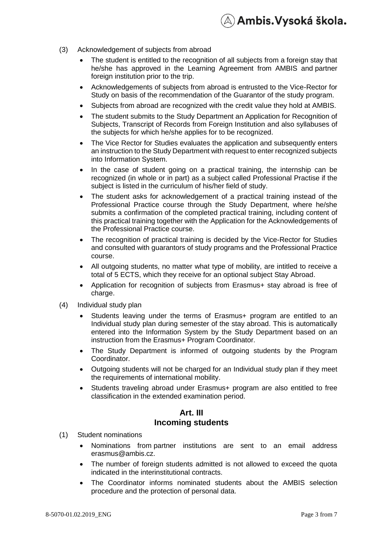

- (3) Acknowledgement of subjects from abroad
	- The student is entitled to the recognition of all subjects from a foreign stay that he/she has approved in the Learning Agreement from AMBIS and partner foreign institution prior to the trip.
	- Acknowledgements of subjects from abroad is entrusted to the Vice-Rector for Study on basis of the recommendation of the Guarantor of the study program.
	- Subjects from abroad are recognized with the credit value they hold at AMBIS.
	- The student submits to the Study Department an Application for Recognition of Subjects, Transcript of Records from Foreign Institution and also syllabuses of the subjects for which he/she applies for to be recognized.
	- The Vice Rector for Studies evaluates the application and subsequently enters an instruction to the Study Department with request to enter recognized subjects into Information System.
	- In the case of student going on a practical training, the internship can be recognized (in whole or in part) as a subject called Professional Practise if the subject is listed in the curriculum of his/her field of study.
	- The student asks for acknowledgement of a practical training instead of the Professional Practice course through the Study Department, where he/she submits a confirmation of the completed practical training, including content of this practical training together with the Application for the Acknowledgements of the Professional Practice course.
	- The recognition of practical training is decided by the Vice-Rector for Studies and consulted with guarantors of study programs and the Professional Practice course.
	- All outgoing students, no matter what type of mobility, are intitled to receive a total of 5 ECTS, which they receive for an optional subject Stay Abroad.
	- Application for recognition of subjects from Erasmus+ stay abroad is free of charge.
- (4) Individual study plan
	- Students leaving under the terms of Erasmus+ program are entitled to an Individual study plan during semester of the stay abroad. This is automatically entered into the Information System by the Study Department based on an instruction from the Erasmus+ Program Coordinator.
	- The Study Department is informed of outgoing students by the Program Coordinator.
	- Outgoing students will not be charged for an Individual study plan if they meet the requirements of international mobility.
	- Students traveling abroad under Erasmus+ program are also entitled to free classification in the extended examination period.

#### **Art. III Incoming students**

- (1) Student nominations
	- Nominations from partner institutions are sent to an email address erasmus@ambis.cz.
	- The number of foreign students admitted is not allowed to exceed the quota indicated in the interinstitutional contracts.
	- The Coordinator informs nominated students about the AMBIS selection procedure and the protection of personal data.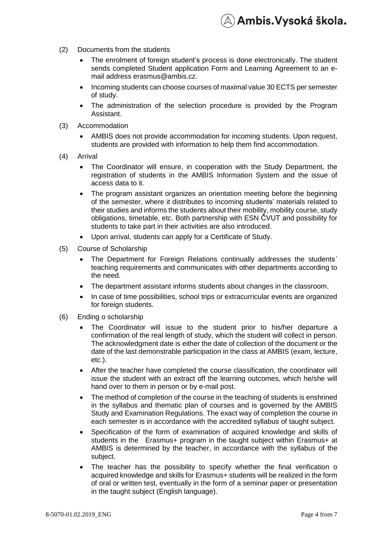- (2) Documents from the students
	- The enrolment of foreign student's process is done electronically. The student sends completed Student application Form and Learning Agreement to an email address [erasmus@ambis.cz.](mailto:erasmus@ambis.cz)

 $\mathbb{A})$  Ambis.Vysoká škola.

- Incoming students can choose courses of maximal value 30 ECTS per semester of study.
- The administration of the selection procedure is provided by the Program Assistant.
- (3) Accommodation
	- AMBIS does not provide accommodation for incoming students. Upon request, students are provided with information to help them find accommodation.
- (4) Arrival
	- The Coordinator will ensure, in cooperation with the Study Department, the registration of students in the AMBIS Information System and the issue of access data to it.
	- The program assistant organizes an orientation meeting before the beginning of the semester, where it distributes to incoming students' materials related to their studies and informs the students about their mobility, mobility course, study obligations, timetable, etc. Both partnership with ESN ČVUT and possibility for students to take part in their activities are also introduced.
	- Upon arrival, students can apply for a Certificate of Study.
- (5) Course of Scholarship
	- The Department for Foreign Relations continually addresses the students´ teaching requirements and communicates with other departments according to the need.
	- The department assistant informs students about changes in the classroom.
	- In case of time possibilities, school trips or extracurricular events are organized for foreign students.
- (6) Ending o scholarship
	- The Coordinator will issue to the student prior to his/her departure a confirmation of the real length of study, which the student will collect in person. The acknowledgment date is either the date of collection of the document or the date of the last demonstrable participation in the class at AMBIS (exam, lecture, etc.).
	- After the teacher have completed the course classification, the coordinator will issue the student with an extract off the learning outcomes, which he/she will hand over to them in person or by e-mail post.
	- The method of completion of the course in the teaching of students is enshrined in the syllabus and thematic plan of courses and is governed by the AMBIS Study and Examination Regulations. The exact way of completion the course in each semester is in accordance with the accredited syllabus of taught subject.
	- Specification of the form of examination of acquired knowledge and skills of students in the Erasmus+ program in the taught subject within Erasmus+ at AMBIS is determined by the teacher, in accordance with the syllabus of the subject.
	- The teacher has the possibility to specify whether the final verification o acquired knowledge and skills for Erasmus+ students will be realized in the form of oral or written test, eventually in the form of a seminar paper or presentation in the taught subject (English language).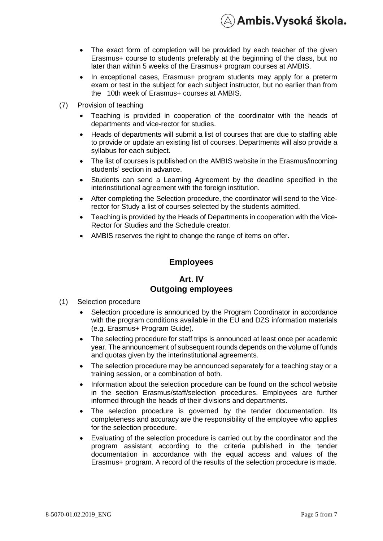

- The exact form of completion will be provided by each teacher of the given Erasmus+ course to students preferably at the beginning of the class, but no later than within 5 weeks of the Erasmus+ program courses at AMBIS.
- In exceptional cases, Erasmus+ program students may apply for a preterm exam or test in the subject for each subject instructor, but no earlier than from the 10th week of Erasmus+ courses at AMBIS.
- (7) Provision of teaching
	- Teaching is provided in cooperation of the coordinator with the heads of departments and vice-rector for studies.
	- Heads of departments will submit a list of courses that are due to staffing able to provide or update an existing list of courses. Departments will also provide a syllabus for each subject.
	- The list of courses is published on the AMBIS website in the Erasmus/incoming students' section in advance.
	- Students can send a Learning Agreement by the deadline specified in the interinstitutional agreement with the foreign institution.
	- After completing the Selection procedure, the coordinator will send to the Vicerector for Study a list of courses selected by the students admitted.
	- Teaching is provided by the Heads of Departments in cooperation with the Vice-Rector for Studies and the Schedule creator.
	- AMBIS reserves the right to change the range of items on offer.

#### **Employees**

#### **Art. IV Outgoing employees**

- (1) Selection procedure
	- Selection procedure is announced by the Program Coordinator in accordance with the program conditions available in the EU and DZS information materials (e.g. Erasmus+ Program Guide).
	- The selecting procedure for staff trips is announced at least once per academic year. The announcement of subsequent rounds depends on the volume of funds and quotas given by the interinstitutional agreements.
	- The selection procedure may be announced separately for a teaching stay or a training session, or a combination of both.
	- Information about the selection procedure can be found on the school website in the section Erasmus/staff/selection procedures. Employees are further informed through the heads of their divisions and departments.
	- The selection procedure is governed by the tender documentation. Its completeness and accuracy are the responsibility of the employee who applies for the selection procedure.
	- Evaluating of the selection procedure is carried out by the coordinator and the program assistant according to the criteria published in the tender documentation in accordance with the equal access and values of the Erasmus+ program. A record of the results of the selection procedure is made.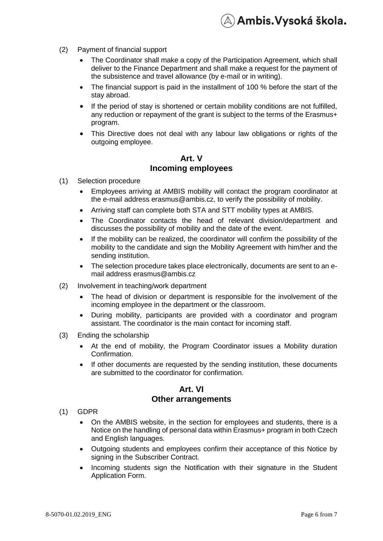- (2) Payment of financial support
	- The Coordinator shall make a copy of the Participation Agreement, which shall deliver to the Finance Department and shall make a request for the payment of the subsistence and travel allowance (by e-mail or in writing).

 $\lambda$ ) Ambis.Vysoká škola.

- The financial support is paid in the installment of 100 % before the start of the stay abroad.
- If the period of stay is shortened or certain mobility conditions are not fulfilled, any reduction or repayment of the grant is subject to the terms of the Erasmus+ program.
- This Directive does not deal with any labour law obligations or rights of the outgoing employee.

#### **Art. V Incoming employees**

- (1) Selection procedure
	- Employees arriving at AMBIS mobility will contact the program coordinator at the e-mail address erasmus@ambis.cz, to verify the possibility of mobility.
	- Arriving staff can complete both STA and STT mobility types at AMBIS.
	- The Coordinator contacts the head of relevant division/department and discusses the possibility of mobility and the date of the event.
	- If the mobility can be realized, the coordinator will confirm the possibility of the mobility to the candidate and sign the Mobility Agreement with him/her and the sending institution.
	- The selection procedure takes place electronically, documents are sent to an email address erasmus@ambis.cz
- (2) Involvement in teaching/work department
	- The head of division or department is responsible for the involvement of the incoming employee in the department or the classroom.
	- During mobility, participants are provided with a coordinator and program assistant. The coordinator is the main contact for incoming staff.
- (3) Ending the scholarship
	- At the end of mobility, the Program Coordinator issues a Mobility duration Confirmation.
	- If other documents are requested by the sending institution, these documents are submitted to the coordinator for confirmation.

#### **Art. VI Other arrangements**

- (1) GDPR
	- On the AMBIS website, in the section for employees and students, there is a Notice on the handling of personal data within Erasmus+ program in both Czech and English languages.
	- Outgoing students and employees confirm their acceptance of this Notice by signing in the Subscriber Contract.
	- Incoming students sign the Notification with their signature in the Student Application Form.